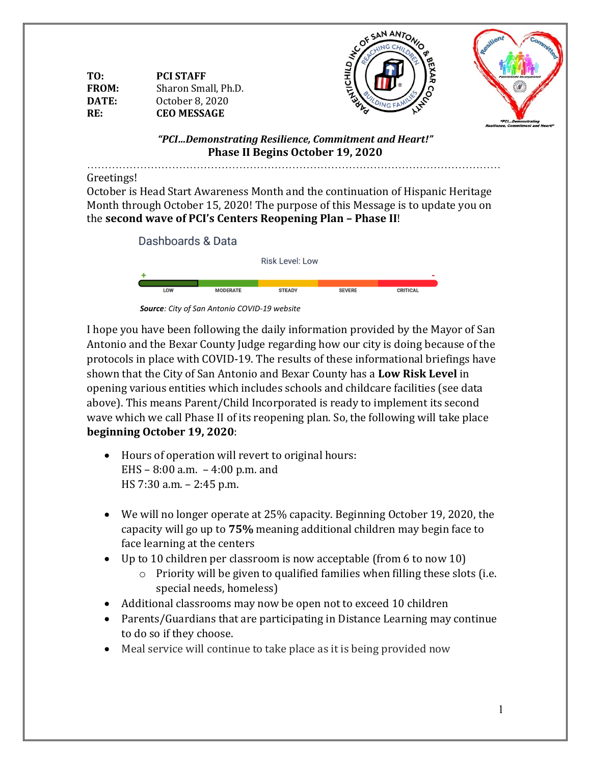| TO:          | <b>PCI STAFF</b>    |  |
|--------------|---------------------|--|
| <b>FROM:</b> | Sharon Small, Ph.D. |  |
| DATE:        | October 8, 2020     |  |
| RF:          | <b>CEO MESSAGE</b>  |  |





*"PCI…Demonstrating Resilience, Commitment and Heart!"* **Phase II Begins October 19, 2020**

………………………………………………………………………………………………………

#### Greetings!

October is Head Start Awareness Month and the continuation of Hispanic Heritage Month through October 15, 2020! The purpose of this Message is to update you on the **second wave of PCI's Centers Reopening Plan – Phase II**!



 *Source: City of San Antonio COVID-19 website*

I hope you have been following the daily information provided by the Mayor of San Antonio and the Bexar County Judge regarding how our city is doing because of the protocols in place with COVID-19. The results of these informational briefings have shown that the City of San Antonio and Bexar County has a **Low Risk Level** in opening various entities which includes schools and childcare facilities (see data above). This means Parent/Child Incorporated is ready to implement its second wave which we call Phase II of its reopening plan. So, the following will take place **beginning October 19, 2020**:

- Hours of operation will revert to original hours: EHS – 8:00 a.m. – 4:00 p.m. and HS 7:30 a.m. – 2:45 p.m.
- We will no longer operate at 25% capacity. Beginning October 19, 2020, the capacity will go up to **75%** meaning additional children may begin face to face learning at the centers
- Up to 10 children per classroom is now acceptable (from 6 to now 10)
	- o Priority will be given to qualified families when filling these slots (i.e. special needs, homeless)
- Additional classrooms may now be open not to exceed 10 children
- Parents/Guardians that are participating in Distance Learning may continue to do so if they choose.
- Meal service will continue to take place as it is being provided now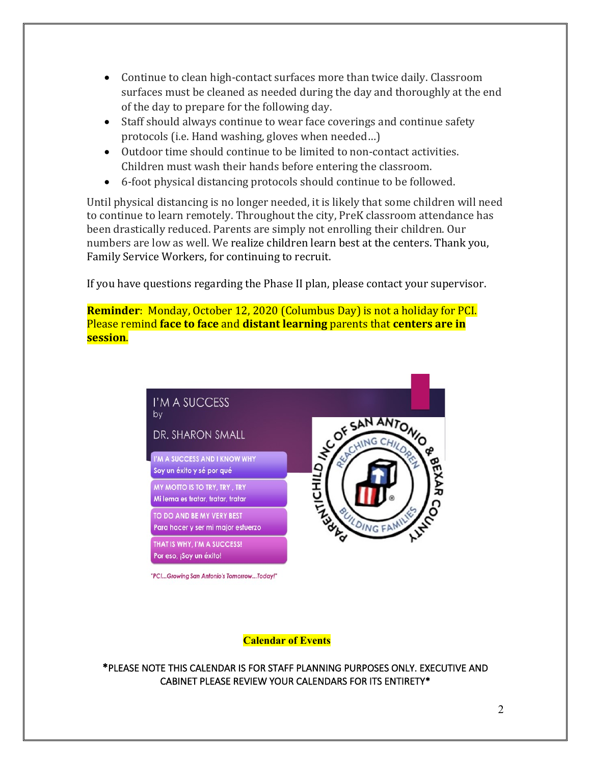- Continue to clean high-contact surfaces more than twice daily. Classroom surfaces must be cleaned as needed during the day and thoroughly at the end of the day to prepare for the following day.
- Staff should always continue to wear face coverings and continue safety protocols (i.e. Hand washing, gloves when needed…)
- Outdoor time should continue to be limited to non-contact activities. Children must wash their hands before entering the classroom.
- 6-foot physical distancing protocols should continue to be followed.

Until physical distancing is no longer needed, it is likely that some children will need to continue to learn remotely. Throughout the city, PreK classroom attendance has been drastically reduced. Parents are simply not enrolling their children. Our numbers are low as well. We realize children learn best at the centers. Thank you, Family Service Workers, for continuing to recruit.

If you have questions regarding the Phase II plan, please contact your supervisor.

**Reminder**: Monday, October 12, 2020 (Columbus Day) is not a holiday for PCI. Please remind **face to face** and **distant learning** parents that **centers are in session**.



**Calendar of Events**

\*PLEASE NOTE THIS CALENDAR IS FOR STAFF PLANNING PURPOSES ONLY. EXECUTIVE AND CABINET PLEASE REVIEW YOUR CALENDARS FOR ITS ENTIRETY\*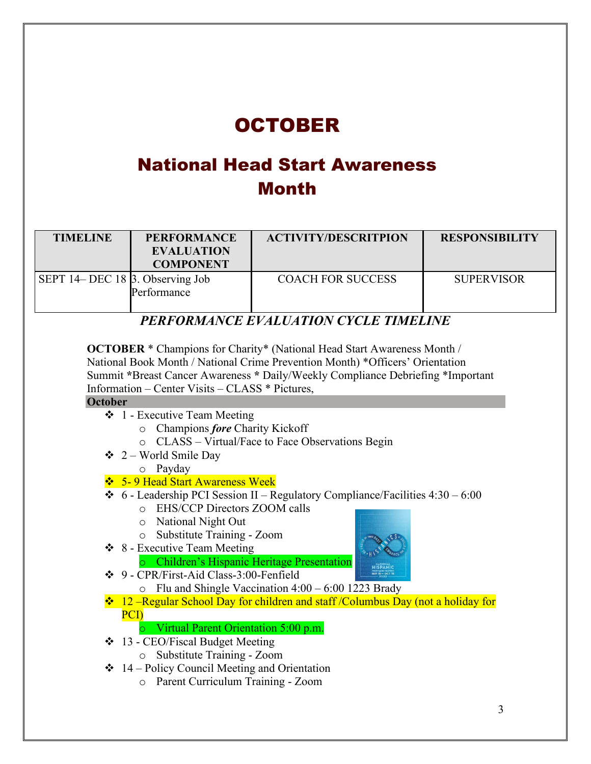## OCTOBER

## National Head Start Awareness Month

| <b>TIMELINE</b>                         | <b>PERFORMANCE</b><br><b>EVALUATION</b><br><b>COMPONENT</b> | <b>ACTIVITY/DESCRITPION</b> | <b>RESPONSIBILITY</b> |
|-----------------------------------------|-------------------------------------------------------------|-----------------------------|-----------------------|
| SEPT 14– DEC 18 $\beta$ . Observing Job | Performance                                                 | <b>COACH FOR SUCCESS</b>    | <b>SUPERVISOR</b>     |

### *PERFORMANCE EVALUATION CYCLE TIMELINE*

**OCTOBER** \* Champions for Charity\* (National Head Start Awareness Month / National Book Month / National Crime Prevention Month) \*Officers' Orientation Summit **\***Breast Cancer Awareness **\*** Daily/Weekly Compliance Debriefing \*Important Information – Center Visits – CLASS \* Pictures,

#### **October**

- ❖ 1 Executive Team Meeting
	- o Champions *fore* Charity Kickoff
	- o CLASS Virtual/Face to Face Observations Begin
- $\div$  2 World Smile Day
	- o Payday
- ❖ 5- 9 Head Start Awareness Week
- $\div$  6 Leadership PCI Session II Regulatory Compliance/Facilities 4:30 6:00
	- o EHS/CCP Directors ZOOM calls
	- o National Night Out
	- o Substitute Training Zoom
- ❖ 8 Executive Team Meeting
	- o Children's Hispanic Heritage Presentation
- ❖ 9 CPR/First-Aid Class-3:00-Fenfield
	- $\circ$  Flu and Shingle Vaccination 4:00 6:00 1223 Brady
- ❖ 12 –Regular School Day for children and staff /Columbus Day (not a holiday for PCI)
	- o Virtual Parent Orientation 5:00 p.m.
- ❖ 13 CEO/Fiscal Budget Meeting
	- o Substitute Training Zoom
- ❖ 14 Policy Council Meeting and Orientation
	- o Parent Curriculum Training Zoom

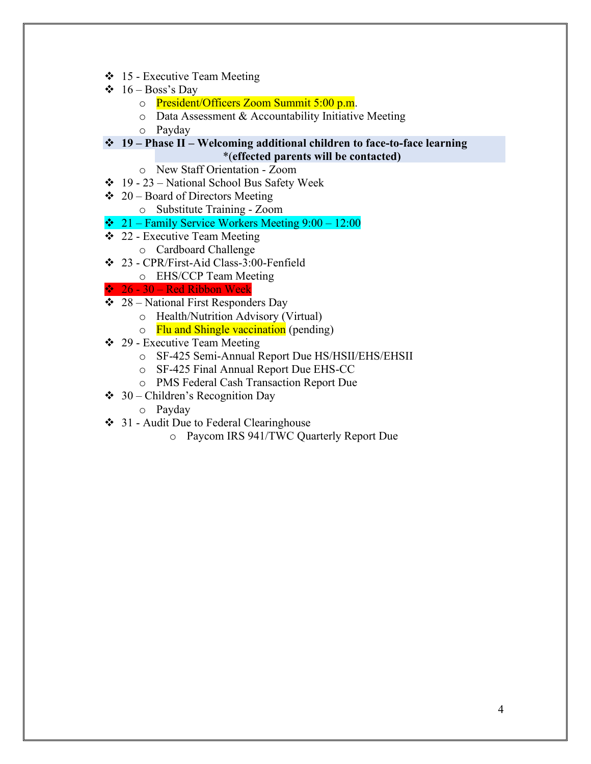- ❖ 15 Executive Team Meeting
- $\div$  16 Boss's Day
	- o President/Officers Zoom Summit 5:00 p.m.
	- o Data Assessment & Accountability Initiative Meeting
	- o Payday
- ❖ **19 – Phase II – Welcoming additional children to face-to-face learning**

#### \*(**effected parents will be contacted)**

- o New Staff Orientation Zoom
- $\div$  19 23 National School Bus Safety Week
- $\div$  20 Board of Directors Meeting
	- o Substitute Training Zoom
- $\div$  21 Family Service Workers Meeting 9:00 12:00
- ❖ 22 Executive Team Meeting o Cardboard Challenge
- ❖ 23 CPR/First-Aid Class-3:00-Fenfield
	- o EHS/CCP Team Meeting

#### ❖ 26 - 30 – Red Ribbon Week

- $\div$  28 National First Responders Day
	- o Health/Nutrition Advisory (Virtual)
	- o Flu and Shingle vaccination (pending)
- ❖ 29 Executive Team Meeting
	- o SF-425 Semi-Annual Report Due HS/HSII/EHS/EHSII
	- o SF-425 Final Annual Report Due EHS-CC
	- o PMS Federal Cash Transaction Report Due
- $\div$  30 Children's Recognition Day
	- o Payday
- ❖ 31 Audit Due to Federal Clearinghouse
	- o Paycom IRS 941/TWC Quarterly Report Due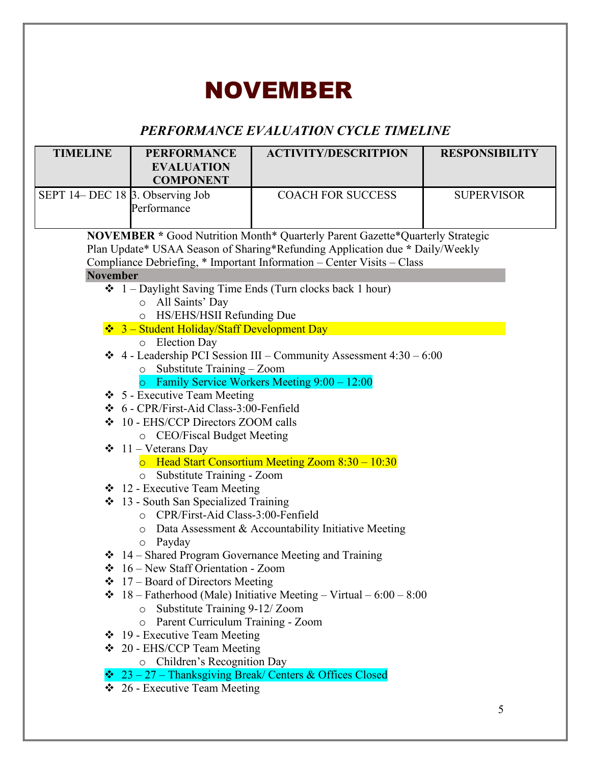# NOVEMBER

### *PERFORMANCE EVALUATION CYCLE TIMELINE*

| <b>TIMELINE</b>                                                                                                                                                                                                                         | <b>PERFORMANCE</b><br><b>EVALUATION</b><br><b>COMPONENT</b>                            | <b>ACTIVITY/DESCRITPION</b>                                                                                               | <b>RESPONSIBILITY</b> |  |
|-----------------------------------------------------------------------------------------------------------------------------------------------------------------------------------------------------------------------------------------|----------------------------------------------------------------------------------------|---------------------------------------------------------------------------------------------------------------------------|-----------------------|--|
| SEPT 14– DEC 18 3. Observing Job                                                                                                                                                                                                        | Performance                                                                            | <b>COACH FOR SUCCESS</b>                                                                                                  | <b>SUPERVISOR</b>     |  |
| NOVEMBER * Good Nutrition Month* Quarterly Parent Gazette*Quarterly Strategic<br>Plan Update* USAA Season of Sharing*Refunding Application due * Daily/Weekly<br>Compliance Debriefing, * Important Information - Center Visits - Class |                                                                                        |                                                                                                                           |                       |  |
| <b>November</b>                                                                                                                                                                                                                         |                                                                                        |                                                                                                                           |                       |  |
|                                                                                                                                                                                                                                         | o All Saints' Day<br>HS/EHS/HSII Refunding Due<br>$\circ$                              | $\div 1$ – Daylight Saving Time Ends (Turn clocks back 1 hour)                                                            |                       |  |
|                                                                                                                                                                                                                                         | $\div$ 3 – Student Holiday/Staff Development Day                                       |                                                                                                                           |                       |  |
|                                                                                                                                                                                                                                         | o Election Day<br>$\circ$ Substitute Training - Zoom                                   | $\div$ 4 - Leadership PCI Session III – Community Assessment 4:30 – 6:00<br>o Family Service Workers Meeting 9:00 - 12:00 |                       |  |
|                                                                                                                                                                                                                                         | $\div$ 5 - Executive Team Meeting                                                      |                                                                                                                           |                       |  |
|                                                                                                                                                                                                                                         | ❖ 6 - CPR/First-Aid Class-3:00-Fenfield                                                |                                                                                                                           |                       |  |
|                                                                                                                                                                                                                                         | ❖ 10 - EHS/CCP Directors ZOOM calls                                                    |                                                                                                                           |                       |  |
|                                                                                                                                                                                                                                         | o CEO/Fiscal Budget Meeting                                                            |                                                                                                                           |                       |  |
|                                                                                                                                                                                                                                         | $\div$ 11 – Veterans Day<br>o Substitute Training - Zoom                               | $\circ$ Head Start Consortium Meeting Zoom 8:30 – 10:30                                                                   |                       |  |
|                                                                                                                                                                                                                                         | $\div$ 12 - Executive Team Meeting                                                     |                                                                                                                           |                       |  |
|                                                                                                                                                                                                                                         | ❖ 13 - South San Specialized Training<br>O CPR/First-Aid Class-3:00-Fenfield<br>Payday | $\circ$ Data Assessment & Accountability Initiative Meeting                                                               |                       |  |
|                                                                                                                                                                                                                                         | $\circ$                                                                                | ❖ 14 – Shared Program Governance Meeting and Training                                                                     |                       |  |
|                                                                                                                                                                                                                                         | $\div$ 16 – New Staff Orientation - Zoom                                               |                                                                                                                           |                       |  |
|                                                                                                                                                                                                                                         | $\div$ 17 – Board of Directors Meeting                                                 |                                                                                                                           |                       |  |
|                                                                                                                                                                                                                                         | Substitute Training 9-12/Zoom<br>$\circ$<br>Parent Curriculum Training - Zoom<br>O     | <b>❖</b> 18 – Fatherhood (Male) Initiative Meeting – Virtual – $6:00 - 8:00$                                              |                       |  |
|                                                                                                                                                                                                                                         | $\div$ 19 - Executive Team Meeting                                                     |                                                                                                                           |                       |  |
|                                                                                                                                                                                                                                         | ❖ 20 - EHS/CCP Team Meeting<br>o Children's Recognition Day                            |                                                                                                                           |                       |  |
|                                                                                                                                                                                                                                         |                                                                                        | $\div$ 23 – 27 – Thanksgiving Break/ Centers & Offices Closed                                                             |                       |  |
|                                                                                                                                                                                                                                         | $\div$ 26 - Executive Team Meeting                                                     |                                                                                                                           |                       |  |